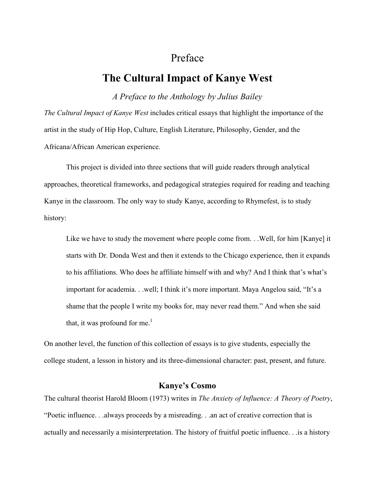## Preface

## **The Cultural Impact of Kanye West**

*A Preface to the Anthology by Julius Bailey*

*The Cultural Impact of Kanye West* includes critical essays that highlight the importance of the artist in the study of Hip Hop, Culture, English Literature, Philosophy, Gender, and the Africana/African American experience.

This project is divided into three sections that will guide readers through analytical approaches, theoretical frameworks, and pedagogical strategies required for reading and teaching Kanye in the classroom. The only way to study Kanye, according to Rhymefest, is to study history:

Like we have to study the movement where people come from. . .Well, for him [Kanye] it starts with Dr. Donda West and then it extends to the Chicago experience, then it expands to his affiliations. Who does he affiliate himself with and why? And I think that's what's important for academia. . .well; I think it's more important. Maya Angelou said, "It's a shame that the people I write my books for, may never read them." And when she said that, it was profound for me. $<sup>1</sup>$ </sup>

On another level, the function of this collection of essays is to give students, especially the college student, a lesson in history and its three-dimensional character: past, present, and future.

## **Kanye's Cosmo**

The cultural theorist Harold Bloom (1973) writes in *The Anxiety of Influence: A Theory of Poetry*, "Poetic influence. . .always proceeds by a misreading. . .an act of creative correction that is actually and necessarily a misinterpretation. The history of fruitful poetic influence. . .is a history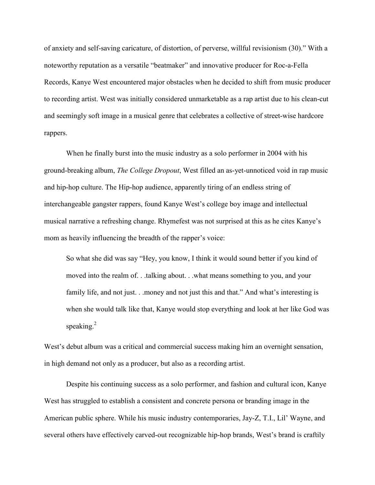of anxiety and self-saving caricature, of distortion, of perverse, willful revisionism (30)." With a noteworthy reputation as a versatile "beatmaker" and innovative producer for Roc-a-Fella Records, Kanye West encountered major obstacles when he decided to shift from music producer to recording artist. West was initially considered unmarketable as a rap artist due to his clean-cut and seemingly soft image in a musical genre that celebrates a collective of street-wise hardcore rappers.

When he finally burst into the music industry as a solo performer in 2004 with his ground-breaking album, *The College Dropout*, West filled an as-yet-unnoticed void in rap music and hip-hop culture. The Hip-hop audience, apparently tiring of an endless string of interchangeable gangster rappers, found Kanye West's college boy image and intellectual musical narrative a refreshing change. Rhymefest was not surprised at this as he cites Kanye's mom as heavily influencing the breadth of the rapper's voice:

So what she did was say "Hey, you know, I think it would sound better if you kind of moved into the realm of. . .talking about. . .what means something to you, and your family life, and not just. . .money and not just this and that." And what's interesting is when she would talk like that, Kanye would stop everything and look at her like God was speaking. $2$ 

West's debut album was a critical and commercial success making him an overnight sensation, in high demand not only as a producer, but also as a recording artist.

Despite his continuing success as a solo performer, and fashion and cultural icon, Kanye West has struggled to establish a consistent and concrete persona or branding image in the American public sphere. While his music industry contemporaries, Jay-Z, T.I., Lil' Wayne, and several others have effectively carved-out recognizable hip-hop brands, West's brand is craftily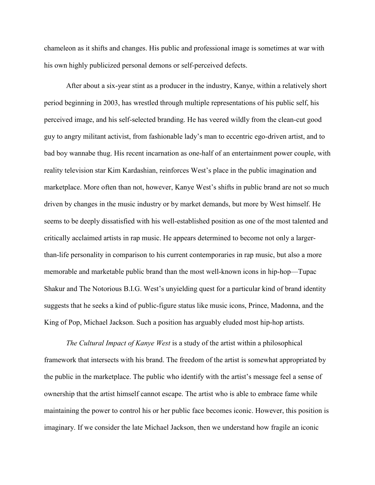chameleon as it shifts and changes. His public and professional image is sometimes at war with his own highly publicized personal demons or self-perceived defects.

After about a six-year stint as a producer in the industry, Kanye, within a relatively short period beginning in 2003, has wrestled through multiple representations of his public self, his perceived image, and his self-selected branding. He has veered wildly from the clean-cut good guy to angry militant activist, from fashionable lady's man to eccentric ego-driven artist, and to bad boy wannabe thug. His recent incarnation as one-half of an entertainment power couple, with reality television star Kim Kardashian, reinforces West's place in the public imagination and marketplace. More often than not, however, Kanye West's shifts in public brand are not so much driven by changes in the music industry or by market demands, but more by West himself. He seems to be deeply dissatisfied with his well-established position as one of the most talented and critically acclaimed artists in rap music. He appears determined to become not only a largerthan-life personality in comparison to his current contemporaries in rap music, but also a more memorable and marketable public brand than the most well-known icons in hip-hop—Tupac Shakur and The Notorious B.I.G. West's unyielding quest for a particular kind of brand identity suggests that he seeks a kind of public-figure status like music icons, Prince, Madonna, and the King of Pop, Michael Jackson. Such a position has arguably eluded most hip-hop artists.

*The Cultural Impact of Kanye West* is a study of the artist within a philosophical framework that intersects with his brand. The freedom of the artist is somewhat appropriated by the public in the marketplace. The public who identify with the artist's message feel a sense of ownership that the artist himself cannot escape. The artist who is able to embrace fame while maintaining the power to control his or her public face becomes iconic. However, this position is imaginary. If we consider the late Michael Jackson, then we understand how fragile an iconic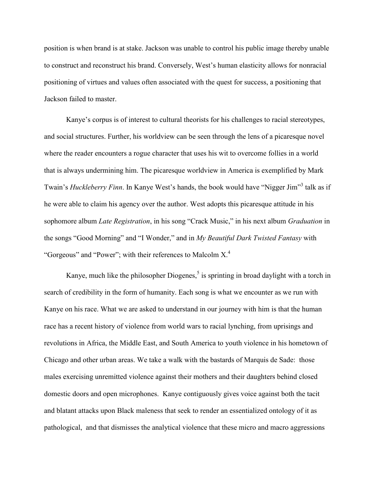position is when brand is at stake. Jackson was unable to control his public image thereby unable to construct and reconstruct his brand. Conversely, West's human elasticity allows for nonracial positioning of virtues and values often associated with the quest for success, a positioning that Jackson failed to master.

Kanye's corpus is of interest to cultural theorists for his challenges to racial stereotypes, and social structures. Further, his worldview can be seen through the lens of a picaresque novel where the reader encounters a rogue character that uses his wit to overcome follies in a world that is always undermining him. The picaresque worldview in America is exemplified by Mark Twain's *Huckleberry Finn*. In Kanye West's hands, the book would have "Nigger Jim"<sup>3</sup> talk as if he were able to claim his agency over the author. West adopts this picaresque attitude in his sophomore album *Late Registration*, in his song "Crack Music," in his next album *Graduation* in the songs "Good Morning" and "I Wonder," and in *My Beautiful Dark Twisted Fantasy* with "Gorgeous" and "Power"; with their references to Malcolm  $X$ .<sup>4</sup>

Kanye, much like the philosopher Diogenes,  $<sup>5</sup>$  is sprinting in broad daylight with a torch in</sup> search of credibility in the form of humanity. Each song is what we encounter as we run with Kanye on his race. What we are asked to understand in our journey with him is that the human race has a recent history of violence from world wars to racial lynching, from uprisings and revolutions in Africa, the Middle East, and South America to youth violence in his hometown of Chicago and other urban areas. We take a walk with the bastards of Marquis de Sade: those males exercising unremitted violence against their mothers and their daughters behind closed domestic doors and open microphones. Kanye contiguously gives voice against both the tacit and blatant attacks upon Black maleness that seek to render an essentialized ontology of it as pathological, and that dismisses the analytical violence that these micro and macro aggressions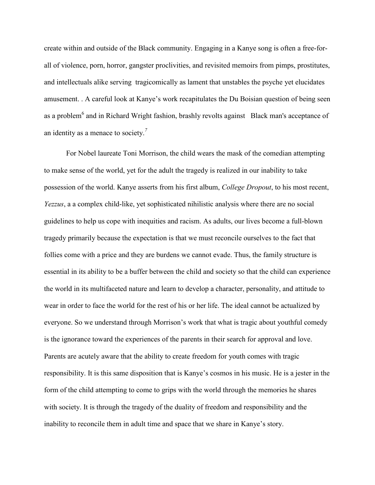create within and outside of the Black community. Engaging in a Kanye song is often a free-forall of violence, porn, horror, gangster proclivities, and revisited memoirs from pimps, prostitutes, and intellectuals alike serving tragicomically as lament that unstables the psyche yet elucidates amusement. . A careful look at Kanye's work recapitulates the Du Boisian question of being seen as a problem<sup>6</sup> and in Richard Wright fashion, brashly revolts against Black man's acceptance of an identity as a menace to society. *7*

For Nobel laureate Toni Morrison, the child wears the mask of the comedian attempting to make sense of the world, yet for the adult the tragedy is realized in our inability to take possession of the world. Kanye asserts from his first album, *College Dropout*, to his most recent, *Yezzus*, a a complex child-like, yet sophisticated nihilistic analysis where there are no social guidelines to help us cope with inequities and racism. As adults, our lives become a full-blown tragedy primarily because the expectation is that we must reconcile ourselves to the fact that follies come with a price and they are burdens we cannot evade. Thus, the family structure is essential in its ability to be a buffer between the child and society so that the child can experience the world in its multifaceted nature and learn to develop a character, personality, and attitude to wear in order to face the world for the rest of his or her life. The ideal cannot be actualized by everyone. So we understand through Morrison's work that what is tragic about youthful comedy is the ignorance toward the experiences of the parents in their search for approval and love. Parents are acutely aware that the ability to create freedom for youth comes with tragic responsibility. It is this same disposition that is Kanye's cosmos in his music. He is a jester in the form of the child attempting to come to grips with the world through the memories he shares with society. It is through the tragedy of the duality of freedom and responsibility and the inability to reconcile them in adult time and space that we share in Kanye's story.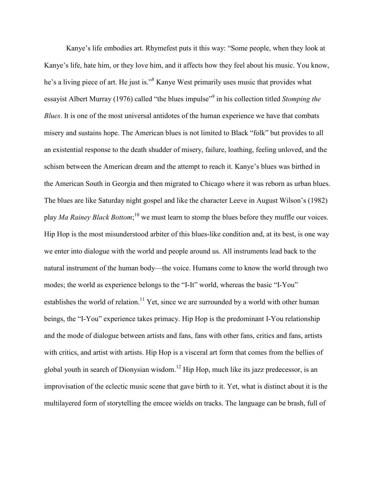Kanye's life embodies art. Rhymefest puts it this way: "Some people, when they look at Kanye's life, hate him, or they love him, and it affects how they feel about his music. You know, he's a living piece of art. He just is."<sup>8</sup> Kanye West primarily uses music that provides what essayist Albert Murray (1976) called "the blues impulse" 9 in his collection titled *Stomping the Blues*. It is one of the most universal antidotes of the human experience we have that combats misery and sustains hope. The American blues is not limited to Black "folk" but provides to all an existential response to the death shudder of misery, failure, loathing, feeling unloved, and the schism between the American dream and the attempt to reach it. Kanye's blues was birthed in the American South in Georgia and then migrated to Chicago where it was reborn as urban blues. The blues are like Saturday night gospel and like the character Leeve in August Wilson's (1982) play *Ma Rainey Black Bottom*; <sup>10</sup> we must learn to stomp the blues before they muffle our voices. Hip Hop is the most misunderstood arbiter of this blues-like condition and, at its best, is one way we enter into dialogue with the world and people around us. All instruments lead back to the natural instrument of the human body—the voice. Humans come to know the world through two modes; the world as experience belongs to the "I-It" world, whereas the basic "I-You" establishes the world of relation.<sup>11</sup> Yet, since we are surrounded by a world with other human beings, the "I-You" experience takes primacy. Hip Hop is the predominant I-You relationship and the mode of dialogue between artists and fans, fans with other fans, critics and fans, artists with critics, and artist with artists. Hip Hop is a visceral art form that comes from the bellies of global youth in search of Dionysian wisdom.<sup>12</sup> Hip Hop, much like its jazz predecessor, is an improvisation of the eclectic music scene that gave birth to it. Yet, what is distinct about it is the multilayered form of storytelling the emcee wields on tracks. The language can be brash, full of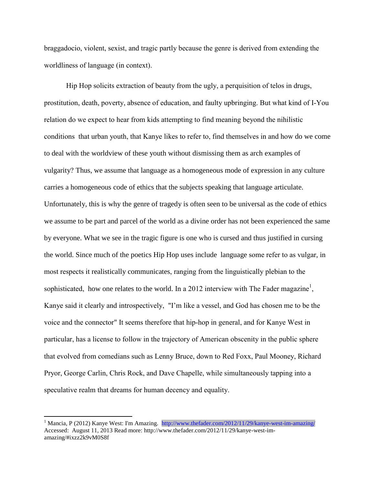braggadocio, violent, sexist, and tragic partly because the genre is derived from extending the worldliness of language (in context).

Hip Hop solicits extraction of beauty from the ugly, a perquisition of telos in drugs, prostitution, death, poverty, absence of education, and faulty upbringing. But what kind of I-You relation do we expect to hear from kids attempting to find meaning beyond the nihilistic conditions that urban youth, that Kanye likes to refer to, find themselves in and how do we come to deal with the worldview of these youth without dismissing them as arch examples of vulgarity? Thus, we assume that language as a homogeneous mode of expression in any culture carries a homogeneous code of ethics that the subjects speaking that language articulate. Unfortunately, this is why the genre of tragedy is often seen to be universal as the code of ethics we assume to be part and parcel of the world as a divine order has not been experienced the same by everyone. What we see in the tragic figure is one who is cursed and thus justified in cursing the world. Since much of the poetics Hip Hop uses include language some refer to as vulgar, in most respects it realistically communicates, ranging from the linguistically plebian to the sophisticated, how one relates to the world. In a 2012 interview with The Fader magazine<sup>1</sup>, Kanye said it clearly and introspectively, "I'm like a vessel, and God has chosen me to be the voice and the connector" It seems therefore that hip-hop in general, and for Kanye West in particular, has a license to follow in the trajectory of American obscenity in the public sphere that evolved from comedians such as Lenny Bruce, down to Red Foxx, Paul Mooney, Richard Pryor, George Carlin, Chris Rock, and Dave Chapelle, while simultaneously tapping into a speculative realm that dreams for human decency and equality.

 $\overline{\phantom{a}}$ 

<sup>&</sup>lt;sup>1</sup> Mancia, P (2012) Kanye West: I'm Amazing. http://www.thefader.com/2012/11/29/kanye-west-im-amazing/ Accessed: August 11, 2013 Read more: http://www.thefader.com/2012/11/29/kanye-west-imamazing/#ixzz2k9vM0S8f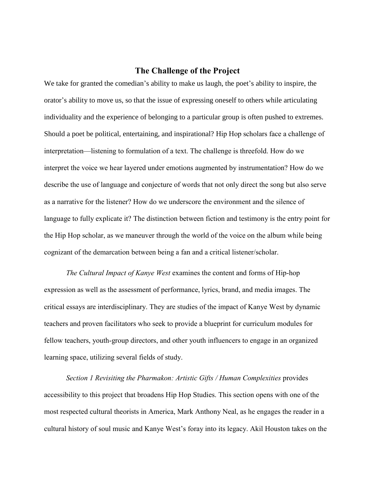## **The Challenge of the Project**

We take for granted the comedian's ability to make us laugh, the poet's ability to inspire, the orator's ability to move us, so that the issue of expressing oneself to others while articulating individuality and the experience of belonging to a particular group is often pushed to extremes. Should a poet be political, entertaining, and inspirational? Hip Hop scholars face a challenge of interpretation—listening to formulation of a text. The challenge is threefold. How do we interpret the voice we hear layered under emotions augmented by instrumentation? How do we describe the use of language and conjecture of words that not only direct the song but also serve as a narrative for the listener? How do we underscore the environment and the silence of language to fully explicate it? The distinction between fiction and testimony is the entry point for the Hip Hop scholar, as we maneuver through the world of the voice on the album while being cognizant of the demarcation between being a fan and a critical listener/scholar.

*The Cultural Impact of Kanye West* examines the content and forms of Hip-hop expression as well as the assessment of performance, lyrics, brand, and media images. The critical essays are interdisciplinary. They are studies of the impact of Kanye West by dynamic teachers and proven facilitators who seek to provide a blueprint for curriculum modules for fellow teachers, youth-group directors, and other youth influencers to engage in an organized learning space, utilizing several fields of study.

*Section 1 Revisiting the Pharmakon: Artistic Gifts / Human Complexities* provides accessibility to this project that broadens Hip Hop Studies. This section opens with one of the most respected cultural theorists in America, Mark Anthony Neal, as he engages the reader in a cultural history of soul music and Kanye West's foray into its legacy. Akil Houston takes on the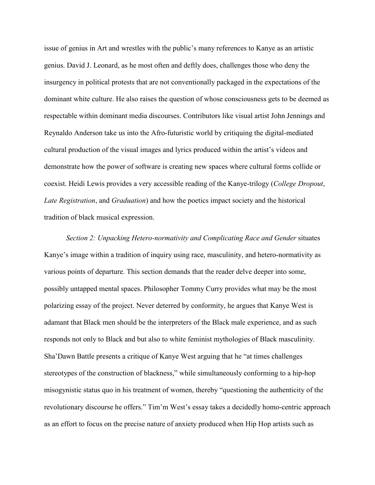issue of genius in Art and wrestles with the public's many references to Kanye as an artistic genius. David J. Leonard, as he most often and deftly does, challenges those who deny the insurgency in political protests that are not conventionally packaged in the expectations of the dominant white culture. He also raises the question of whose consciousness gets to be deemed as respectable within dominant media discourses. Contributors like visual artist John Jennings and Reynaldo Anderson take us into the Afro-futuristic world by critiquing the digital-mediated cultural production of the visual images and lyrics produced within the artist's videos and demonstrate how the power of software is creating new spaces where cultural forms collide or coexist. Heidi Lewis provides a very accessible reading of the Kanye-trilogy (*College Dropout*, *Late Registration*, and *Graduation*) and how the poetics impact society and the historical tradition of black musical expression.

*Section 2: Unpacking Hetero-normativity and Complicating Race and Gender* situates Kanye's image within a tradition of inquiry using race, masculinity, and hetero-normativity as various points of departure. This section demands that the reader delve deeper into some, possibly untapped mental spaces. Philosopher Tommy Curry provides what may be the most polarizing essay of the project. Never deterred by conformity, he argues that Kanye West is adamant that Black men should be the interpreters of the Black male experience, and as such responds not only to Black and but also to white feminist mythologies of Black masculinity. Sha'Dawn Battle presents a critique of Kanye West arguing that he "at times challenges stereotypes of the construction of blackness," while simultaneously conforming to a hip-hop misogynistic status quo in his treatment of women, thereby "questioning the authenticity of the revolutionary discourse he offers." Tim'm West's essay takes a decidedly homo-centric approach as an effort to focus on the precise nature of anxiety produced when Hip Hop artists such as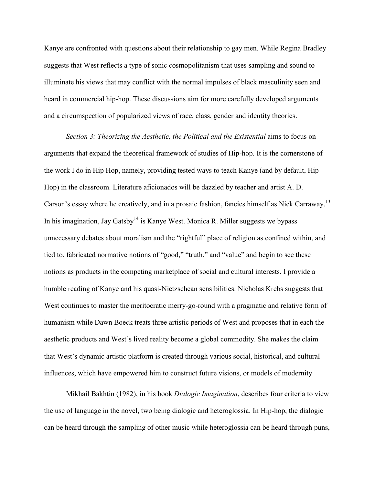Kanye are confronted with questions about their relationship to gay men. While Regina Bradley suggests that West reflects a type of sonic cosmopolitanism that uses sampling and sound to illuminate his views that may conflict with the normal impulses of black masculinity seen and heard in commercial hip-hop. These discussions aim for more carefully developed arguments and a circumspection of popularized views of race, class, gender and identity theories.

*Section 3: Theorizing the Aesthetic, the Political and the Existential* aims to focus on arguments that expand the theoretical framework of studies of Hip-hop. It is the cornerstone of the work I do in Hip Hop, namely, providing tested ways to teach Kanye (and by default, Hip Hop) in the classroom. Literature aficionados will be dazzled by teacher and artist A. D. Carson's essay where he creatively, and in a prosaic fashion, fancies himself as Nick Carraway.<sup>13</sup> In his imagination, Jay Gatsby<sup>14</sup> is Kanye West. Monica R. Miller suggests we bypass unnecessary debates about moralism and the "rightful" place of religion as confined within, and tied to, fabricated normative notions of "good," "truth," and "value" and begin to see these notions as products in the competing marketplace of social and cultural interests. I provide a humble reading of Kanye and his quasi-Nietzschean sensibilities. Nicholas Krebs suggests that West continues to master the meritocratic merry-go-round with a pragmatic and relative form of humanism while Dawn Boeck treats three artistic periods of West and proposes that in each the aesthetic products and West's lived reality become a global commodity. She makes the claim that West's dynamic artistic platform is created through various social, historical, and cultural influences, which have empowered him to construct future visions, or models of modernity

Mikhail Bakhtin (1982), in his book *Dialogic Imagination*, describes four criteria to view the use of language in the novel, two being dialogic and heteroglossia. In Hip-hop, the dialogic can be heard through the sampling of other music while heteroglossia can be heard through puns,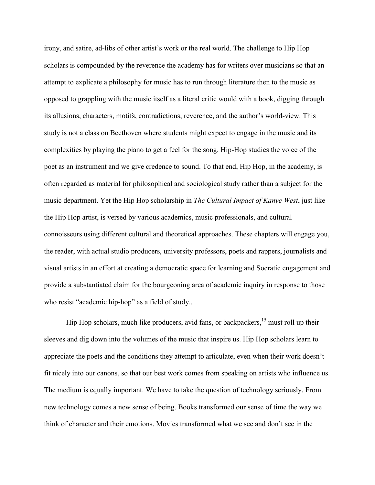irony, and satire, ad-libs of other artist's work or the real world. The challenge to Hip Hop scholars is compounded by the reverence the academy has for writers over musicians so that an attempt to explicate a philosophy for music has to run through literature then to the music as opposed to grappling with the music itself as a literal critic would with a book, digging through its allusions, characters, motifs, contradictions, reverence, and the author's world-view. This study is not a class on Beethoven where students might expect to engage in the music and its complexities by playing the piano to get a feel for the song. Hip-Hop studies the voice of the poet as an instrument and we give credence to sound. To that end, Hip Hop, in the academy, is often regarded as material for philosophical and sociological study rather than a subject for the music department. Yet the Hip Hop scholarship in *The Cultural Impact of Kanye West*, just like the Hip Hop artist, is versed by various academics, music professionals, and cultural connoisseurs using different cultural and theoretical approaches. These chapters will engage you, the reader, with actual studio producers, university professors, poets and rappers, journalists and visual artists in an effort at creating a democratic space for learning and Socratic engagement and provide a substantiated claim for the bourgeoning area of academic inquiry in response to those who resist "academic hip-hop" as a field of study..

Hip Hop scholars, much like producers, avid fans, or backpackers, <sup>15</sup> must roll up their sleeves and dig down into the volumes of the music that inspire us. Hip Hop scholars learn to appreciate the poets and the conditions they attempt to articulate, even when their work doesn't fit nicely into our canons, so that our best work comes from speaking on artists who influence us. The medium is equally important. We have to take the question of technology seriously. From new technology comes a new sense of being. Books transformed our sense of time the way we think of character and their emotions. Movies transformed what we see and don't see in the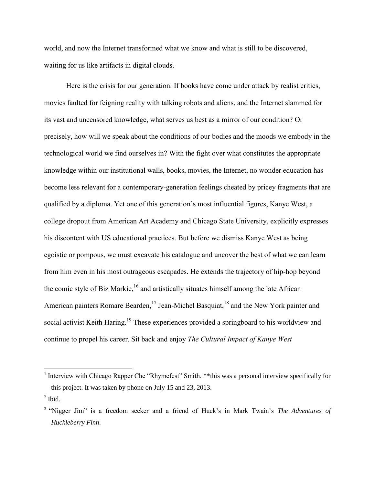world, and now the Internet transformed what we know and what is still to be discovered, waiting for us like artifacts in digital clouds.

Here is the crisis for our generation. If books have come under attack by realist critics, movies faulted for feigning reality with talking robots and aliens, and the Internet slammed for its vast and uncensored knowledge, what serves us best as a mirror of our condition? Or precisely, how will we speak about the conditions of our bodies and the moods we embody in the technological world we find ourselves in? With the fight over what constitutes the appropriate knowledge within our institutional walls, books, movies, the Internet, no wonder education has become less relevant for a contemporary-generation feelings cheated by pricey fragments that are qualified by a diploma. Yet one of this generation's most influential figures, Kanye West, a college dropout from American Art Academy and Chicago State University, explicitly expresses his discontent with US educational practices. But before we dismiss Kanye West as being egoistic or pompous, we must excavate his catalogue and uncover the best of what we can learn from him even in his most outrageous escapades. He extends the trajectory of hip-hop beyond the comic style of Biz Markie, <sup>16</sup> and artistically situates himself among the late African American painters Romare Bearden,<sup>17</sup> Jean-Michel Basquiat,<sup>18</sup> and the New York painter and social activist Keith Haring.<sup>19</sup> These experiences provided a springboard to his worldview and continue to propel his career. Sit back and enjoy *The Cultural Impact of Kanye West*

<sup>&</sup>lt;sup>1</sup> Interview with Chicago Rapper Che "Rhymefest" Smith. \*\* this was a personal interview specifically for this project. It was taken by phone on July 15 and 23, 2013.  $<sup>2</sup>$  Ibid.</sup>

<sup>&</sup>lt;sup>3</sup> "Nigger Jim" is a freedom seeker and a friend of Huck's in Mark Twain's *The Adventures of Huckleberry Finn*.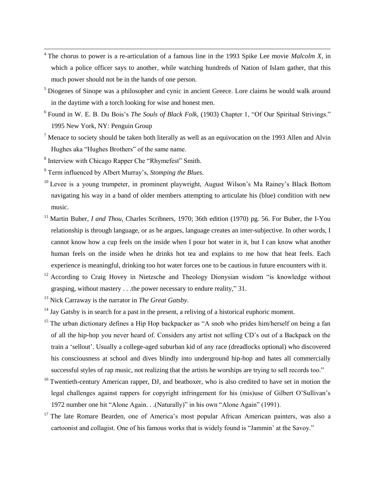- <sup>4</sup> The chorus to power is a re-articulation of a famous line in the 1993 Spike Lee movie *Malcolm X*, in which a police officer says to another, while watching hundreds of Nation of Islam gather, that this much power should not be in the hands of one person.
- <sup>5</sup> Diogenes of Sinope was a philosopher and cynic in ancient Greece. Lore claims he would walk around in the daytime with a torch looking for wise and honest men.
- <sup>6</sup> Found in W. E. B. Du Bois's *The Souls of Black Folk*, (1903) Chapter 1, "Of Our Spiritual Strivings." 1995 New York, NY: Penguin Group
- $<sup>7</sup>$  Menace to society should be taken both literally as well as an equivocation on the 1993 Allen and Alvin</sup> Hughes aka "Hughes Brothers" of the same name.
- <sup>8</sup> Interview with Chicago Rapper Che "Rhymefest" Smith.

 $\overline{\phantom{a}}$ 

- <sup>9</sup> Term influenced by Albert Murray's, *Stomping the Blues.*
- <sup>10</sup> Levee is a young trumpeter, in prominent playwright, August Wilson's Ma Rainey's Black Bottom navigating his way in a band of older members attempting to articulate his (blue) condition with new music.
- <sup>11</sup> Martin Buber, *I and Thou*, Charles Scribners, 1970; 36th edition (1970) pg. 56. For Buber, the I-You relationship is through language, or as he argues, language creates an inter-subjective. In other words, I cannot know how a cup feels on the inside when I pour hot water in it, but I can know what another human feels on the inside when he drinks hot tea and explains to me how that heat feels. Each experience is meaningful, drinking too hot water forces one to be cautious in future encounters with it.
- $12$  According to Craig Hovey in Nietzsche and Theology Dionysian wisdom "is knowledge without grasping, without mastery . . .the power necessary to endure reality," 31.
- <sup>13</sup> Nick Carraway is the narrator in *The Great Gatsby.*
- $14$  Jay Gatsby is in search for a past in the present, a reliving of a historical euphoric moment.
- <sup>15</sup> The urban dictionary defines a Hip Hop backpacker as "A snob who prides him/herself on being a fan of all the hip-hop you never heard of. Considers any artist not selling CD's out of a Backpack on the train a 'sellout'. Usually a college-aged suburban kid of any race (dreadlocks optional) who discovered his consciousness at school and dives blindly into underground hip-hop and hates all commercially successful styles of rap music, not realizing that the artists he worships are trying to sell records too."
- <sup>16</sup> Twentieth-century American rapper, DJ, and beatboxer, who is also credited to have set in motion the legal challenges against rappers for copyright infringement for his (mis)use of Gilbert O'Sullivan's 1972 number one hit "Alone Again. . .(Naturally)" in his own "Alone Again" (1991).
- $17$  The late Romare Bearden, one of America's most popular African American painters, was also a cartoonist and collagist. One of his famous works that is widely found is "Jammin' at the Savoy."